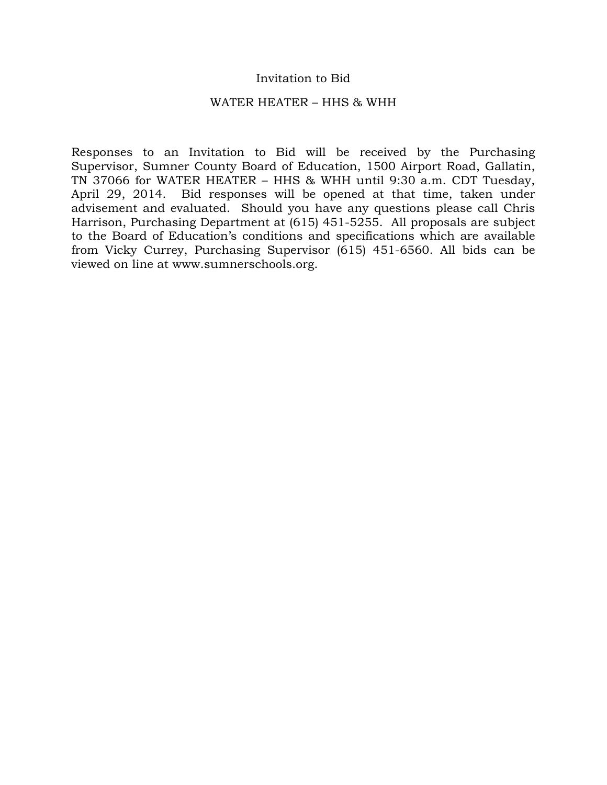### Invitation to Bid

### WATER HEATER – HHS & WHH

Responses to an Invitation to Bid will be received by the Purchasing Supervisor, Sumner County Board of Education, 1500 Airport Road, Gallatin, TN 37066 for WATER HEATER – HHS & WHH until 9:30 a.m. CDT Tuesday, April 29, 2014. Bid responses will be opened at that time, taken under advisement and evaluated. Should you have any questions please call Chris Harrison, Purchasing Department at (615) 451-5255. All proposals are subject to the Board of Education's conditions and specifications which are available from Vicky Currey, Purchasing Supervisor (615) 451-6560. All bids can be viewed on line at www.sumnerschools.org.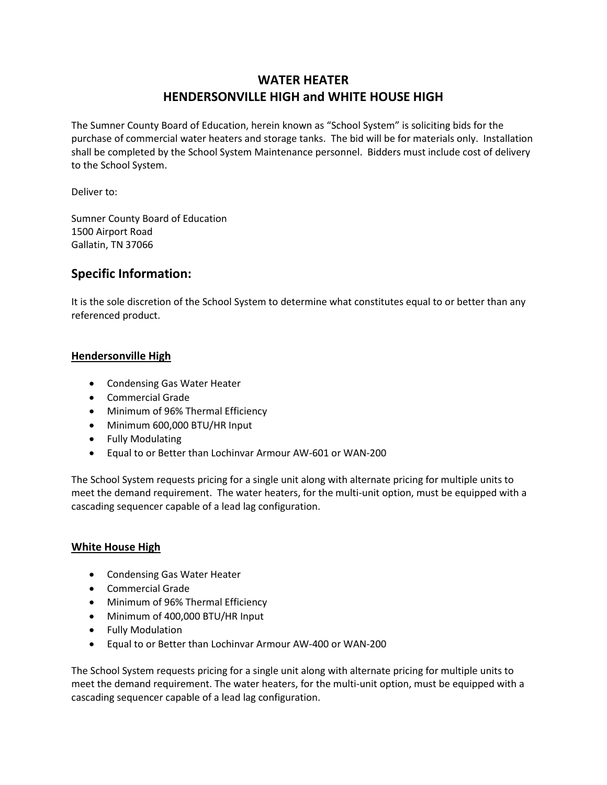## **WATER HEATER HENDERSONVILLE HIGH and WHITE HOUSE HIGH**

The Sumner County Board of Education, herein known as "School System" is soliciting bids for the purchase of commercial water heaters and storage tanks. The bid will be for materials only. Installation shall be completed by the School System Maintenance personnel. Bidders must include cost of delivery to the School System.

Deliver to:

Sumner County Board of Education 1500 Airport Road Gallatin, TN 37066

### **Specific Information:**

It is the sole discretion of the School System to determine what constitutes equal to or better than any referenced product.

### **Hendersonville High**

- Condensing Gas Water Heater
- Commercial Grade
- Minimum of 96% Thermal Efficiency
- Minimum 600,000 BTU/HR Input
- Fully Modulating
- Equal to or Better than Lochinvar Armour AW-601 or WAN-200

The School System requests pricing for a single unit along with alternate pricing for multiple units to meet the demand requirement. The water heaters, for the multi-unit option, must be equipped with a cascading sequencer capable of a lead lag configuration.

### **White House High**

- Condensing Gas Water Heater
- Commercial Grade
- Minimum of 96% Thermal Efficiency
- Minimum of 400,000 BTU/HR Input
- Fully Modulation
- Equal to or Better than Lochinvar Armour AW-400 or WAN-200

The School System requests pricing for a single unit along with alternate pricing for multiple units to meet the demand requirement. The water heaters, for the multi-unit option, must be equipped with a cascading sequencer capable of a lead lag configuration.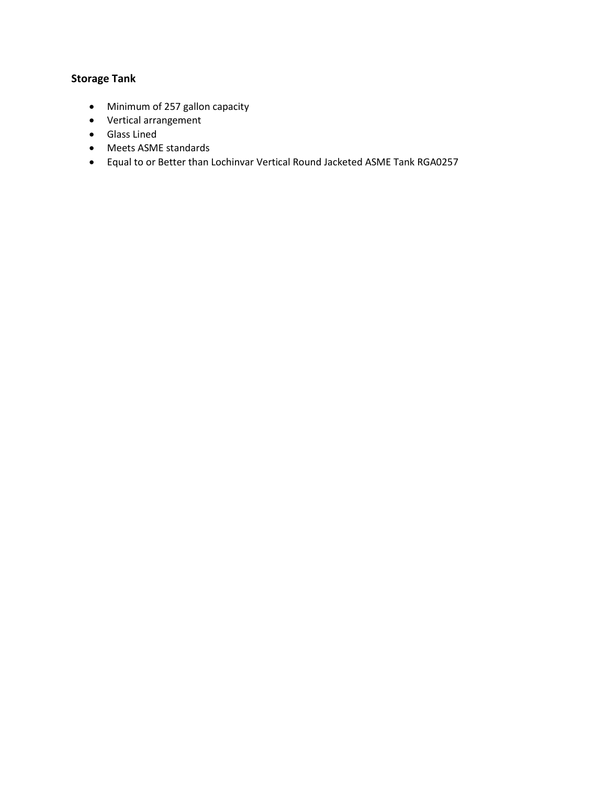### **Storage Tank**

- Minimum of 257 gallon capacity
- Vertical arrangement
- Glass Lined
- Meets ASME standards
- Equal to or Better than Lochinvar Vertical Round Jacketed ASME Tank RGA0257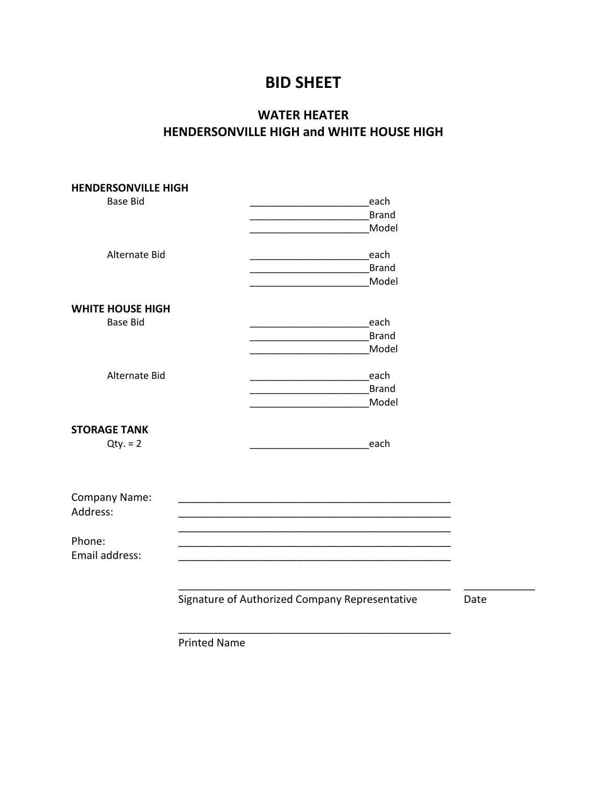# **BID SHEET**

# **WATER HEATER HENDERSONVILLE HIGH and WHITE HOUSE HIGH**

| <b>HENDERSONVILLE HIGH</b> |                                                |      |
|----------------------------|------------------------------------------------|------|
| <b>Base Bid</b>            | each                                           |      |
|                            | <b>Brand</b>                                   |      |
|                            | Model                                          |      |
|                            |                                                |      |
| Alternate Bid              | each                                           |      |
|                            | <b>Brand</b>                                   |      |
|                            | Model                                          |      |
|                            |                                                |      |
| <b>WHITE HOUSE HIGH</b>    |                                                |      |
| <b>Base Bid</b>            | each                                           |      |
|                            | <b>Brand</b>                                   |      |
|                            | Model                                          |      |
|                            |                                                |      |
| Alternate Bid              | each                                           |      |
|                            | <b>Brand</b>                                   |      |
|                            | Model                                          |      |
|                            |                                                |      |
| <b>STORAGE TANK</b>        |                                                |      |
| $Qty. = 2$                 | each                                           |      |
|                            |                                                |      |
|                            |                                                |      |
|                            |                                                |      |
| <b>Company Name:</b>       |                                                |      |
| Address:                   |                                                |      |
|                            |                                                |      |
| Phone:                     |                                                |      |
|                            |                                                |      |
| Email address:             |                                                |      |
|                            |                                                |      |
|                            |                                                |      |
|                            | Signature of Authorized Company Representative | Date |
|                            |                                                |      |
|                            |                                                |      |
|                            | <b>Printed Name</b>                            |      |